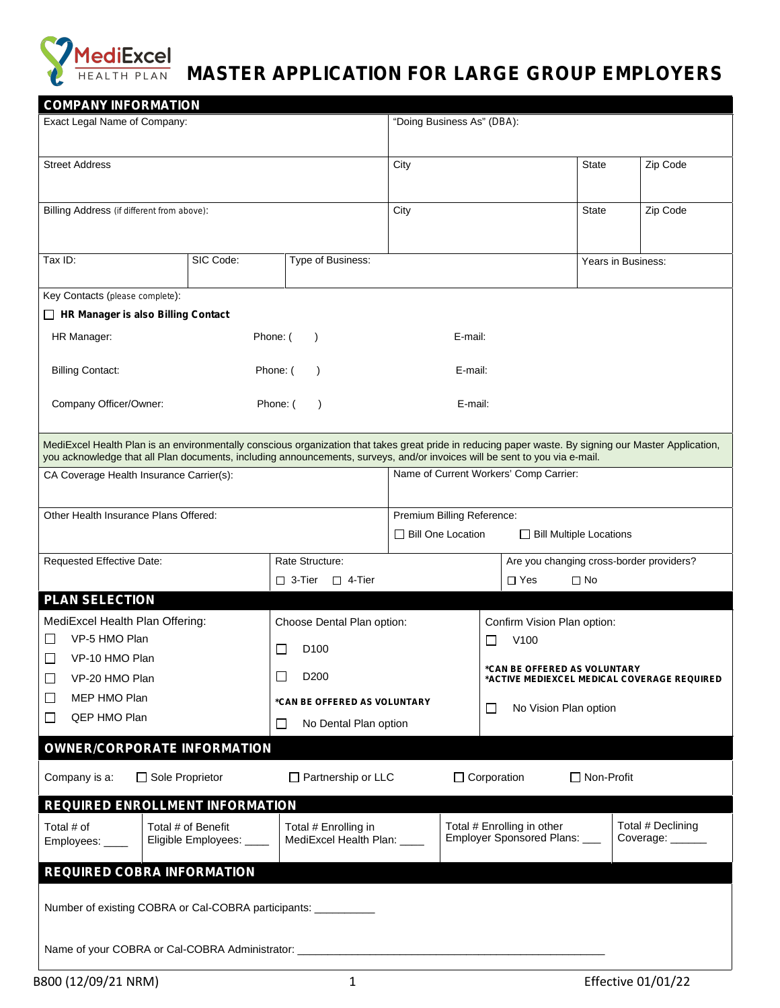

## **MediExcel MASTER APPLICATION FOR LARGE GROUP EMPLOYERS**

| <b>COMPANY INFORMATION</b><br>Exact Legal Name of Company:                                                                                            |                                                     | "Doing Business As" (DBA):      |                                                                                                                            |                    |                                              |  |
|-------------------------------------------------------------------------------------------------------------------------------------------------------|-----------------------------------------------------|---------------------------------|----------------------------------------------------------------------------------------------------------------------------|--------------------|----------------------------------------------|--|
|                                                                                                                                                       |                                                     |                                 |                                                                                                                            |                    |                                              |  |
| <b>Street Address</b>                                                                                                                                 |                                                     | City                            |                                                                                                                            | <b>State</b>       | Zip Code                                     |  |
|                                                                                                                                                       |                                                     |                                 |                                                                                                                            |                    |                                              |  |
| Billing Address (if different from above):                                                                                                            |                                                     | City                            |                                                                                                                            | <b>State</b>       | Zip Code                                     |  |
|                                                                                                                                                       |                                                     |                                 |                                                                                                                            |                    |                                              |  |
|                                                                                                                                                       |                                                     |                                 |                                                                                                                            |                    |                                              |  |
| Tax ID:<br>SIC Code:                                                                                                                                  | Type of Business:                                   |                                 |                                                                                                                            | Years in Business: |                                              |  |
| Key Contacts (please complete):                                                                                                                       |                                                     |                                 |                                                                                                                            |                    |                                              |  |
| □ HR Manager is also Billing Contact                                                                                                                  |                                                     |                                 |                                                                                                                            |                    |                                              |  |
| HR Manager:                                                                                                                                           | Phone: (<br>$\lambda$                               | E-mail:                         |                                                                                                                            |                    |                                              |  |
|                                                                                                                                                       |                                                     |                                 |                                                                                                                            |                    |                                              |  |
| <b>Billing Contact:</b>                                                                                                                               | Phone: (                                            | E-mail:                         |                                                                                                                            |                    |                                              |  |
| Company Officer/Owner:                                                                                                                                | Phone: (<br>$\lambda$                               | E-mail:                         |                                                                                                                            |                    |                                              |  |
|                                                                                                                                                       |                                                     |                                 |                                                                                                                            |                    |                                              |  |
| MediExcel Health Plan is an environmentally conscious organization that takes great pride in reducing paper waste. By signing our Master Application, |                                                     |                                 |                                                                                                                            |                    |                                              |  |
|                                                                                                                                                       |                                                     |                                 | you acknowledge that all Plan documents, including announcements, surveys, and/or invoices will be sent to you via e-mail. |                    |                                              |  |
| CA Coverage Health Insurance Carrier(s):                                                                                                              |                                                     |                                 | Name of Current Workers' Comp Carrier:                                                                                     |                    |                                              |  |
| Other Health Insurance Plans Offered:                                                                                                                 |                                                     | Premium Billing Reference:      |                                                                                                                            |                    |                                              |  |
|                                                                                                                                                       |                                                     | Bill One Location               | <b>Bill Multiple Locations</b>                                                                                             |                    |                                              |  |
| Requested Effective Date:                                                                                                                             | Rate Structure:                                     |                                 | Are you changing cross-border providers?                                                                                   |                    |                                              |  |
|                                                                                                                                                       | $\Box$ 3-Tier $\Box$ 4-Tier                         |                                 | $\Box$ Yes                                                                                                                 | $\Box$ No          |                                              |  |
| <b>PLAN SELECTION</b>                                                                                                                                 |                                                     |                                 |                                                                                                                            |                    |                                              |  |
| MediExcel Health Plan Offering:                                                                                                                       | Choose Dental Plan option:                          |                                 | Confirm Vision Plan option:                                                                                                |                    |                                              |  |
| VP-5 HMO Plan<br>ΙI                                                                                                                                   |                                                     |                                 | V <sub>100</sub><br>$\Box$                                                                                                 |                    |                                              |  |
| VP-10 HMO Plan<br>⊔                                                                                                                                   | D <sub>100</sub><br>$\Box$                          |                                 | *CAN BE OFFERED AS VOLUNTARY                                                                                               |                    |                                              |  |
| VP-20 HMO Plan<br>⊔                                                                                                                                   | D <sub>200</sub><br>$\Box$                          |                                 |                                                                                                                            |                    | *ACTIVE MEDIEXCEL MEDICAL COVERAGE REQUIRED  |  |
| MEP HMO Plan<br>ப                                                                                                                                     | *CAN BE OFFERED AS VOLUNTARY                        | $\Box$<br>No Vision Plan option |                                                                                                                            |                    |                                              |  |
| QEP HMO Plan<br>ப                                                                                                                                     | $\Box$<br>No Dental Plan option                     |                                 |                                                                                                                            |                    |                                              |  |
| <b>OWNER/CORPORATE INFORMATION</b>                                                                                                                    |                                                     |                                 |                                                                                                                            |                    |                                              |  |
| Company is a:<br>$\Box$ Sole Proprietor                                                                                                               | $\Box$ Partnership or LLC                           |                                 | $\Box$ Corporation                                                                                                         | $\Box$ Non-Profit  |                                              |  |
|                                                                                                                                                       |                                                     |                                 |                                                                                                                            |                    |                                              |  |
| <b>REQUIRED ENROLLMENT INFORMATION</b>                                                                                                                |                                                     |                                 |                                                                                                                            |                    |                                              |  |
| Total # of<br>Total # of Benefit<br>Eligible Employees: ____                                                                                          | Total # Enrolling in<br>MediExcel Health Plan: ____ |                                 | Total # Enrolling in other<br>Employer Sponsored Plans: ___                                                                |                    | Total # Declining<br>Coverage: $\frac{1}{2}$ |  |
| Employees: ____                                                                                                                                       |                                                     |                                 |                                                                                                                            |                    |                                              |  |
| <b>REQUIRED COBRA INFORMATION</b>                                                                                                                     |                                                     |                                 |                                                                                                                            |                    |                                              |  |
|                                                                                                                                                       |                                                     |                                 |                                                                                                                            |                    |                                              |  |
| Number of existing COBRA or Cal-COBRA participants: ___________                                                                                       |                                                     |                                 |                                                                                                                            |                    |                                              |  |
|                                                                                                                                                       |                                                     |                                 |                                                                                                                            |                    |                                              |  |
| Name of your COBRA or Cal-COBRA Administrator: __________________________________                                                                     |                                                     |                                 |                                                                                                                            |                    |                                              |  |
| B800 (12/09/21 NRM)                                                                                                                                   | 1                                                   |                                 |                                                                                                                            |                    | <b>Effective 01/01/22</b>                    |  |